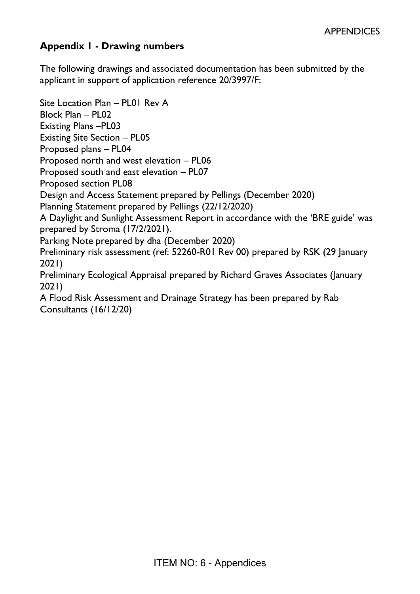# **Appendix 1 - Drawing numbers**

The following drawings and associated documentation has been submitted by the applicant in support of application reference 20/3997/F:

Site Location Plan – PL01 Rev A Block Plan – PL02 Existing Plans –PL03 Existing Site Section – PL05 Proposed plans – PL04 Proposed north and west elevation – PL06 Proposed south and east elevation – PL07 Proposed section PL08 Design and Access Statement prepared by Pellings (December 2020) Planning Statement prepared by Pellings (22/12/2020) A Daylight and Sunlight Assessment Report in accordance with the 'BRE guide' was prepared by Stroma (17/2/2021). Parking Note prepared by dha (December 2020) Preliminary risk assessment (ref: 52260-R01 Rev 00) prepared by RSK (29 January 2021) Preliminary Ecological Appraisal prepared by Richard Graves Associates (January 2021) A Flood Risk Assessment and Drainage Strategy has been prepared by Rab Consultants (16/12/20)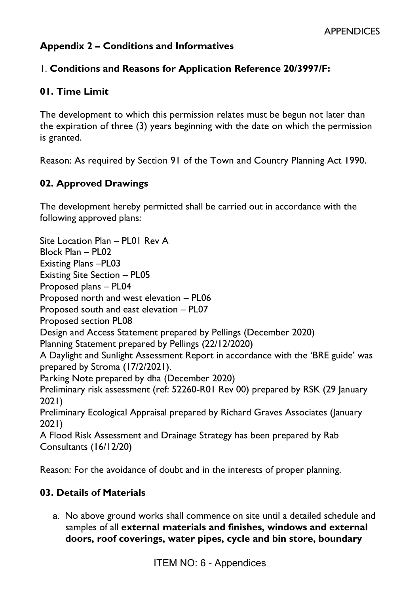# **Appendix 2 – Conditions and Informatives**

### 1. **Conditions and Reasons for Application Reference 20/3997/F:**

### **01. Time Limit**

The development to which this permission relates must be begun not later than the expiration of three (3) years beginning with the date on which the permission is granted.

Reason: As required by Section 91 of the Town and Country Planning Act 1990.

### **02. Approved Drawings**

The development hereby permitted shall be carried out in accordance with the following approved plans:

Site Location Plan – PL01 Rev A Block Plan – PL02 Existing Plans –PL03 Existing Site Section – PL05 Proposed plans – PL04 Proposed north and west elevation – PL06 Proposed south and east elevation – PL07 Proposed section PL08 Design and Access Statement prepared by Pellings (December 2020) Planning Statement prepared by Pellings (22/12/2020) A Daylight and Sunlight Assessment Report in accordance with the 'BRE guide' was prepared by Stroma (17/2/2021). Parking Note prepared by dha (December 2020) Preliminary risk assessment (ref: 52260-R01 Rev 00) prepared by RSK (29 January 2021) Preliminary Ecological Appraisal prepared by Richard Graves Associates (January 2021) A Flood Risk Assessment and Drainage Strategy has been prepared by Rab Consultants (16/12/20)

Reason: For the avoidance of doubt and in the interests of proper planning.

### **03. Details of Materials**

a. No above ground works shall commence on site until a detailed schedule and samples of all **external materials and finishes, windows and external doors, roof coverings, water pipes, cycle and bin store, boundary**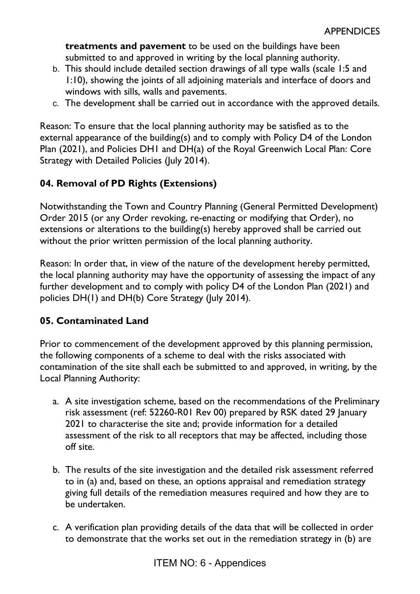**treatments and pavement** to be used on the buildings have been submitted to and approved in writing by the local planning authority.

- b. This should include detailed section drawings of all type walls (scale 1:5 and 1:10), showing the joints of all adjoining materials and interface of doors and windows with sills, walls and pavements.
- c. The development shall be carried out in accordance with the approved details.

Reason: To ensure that the local planning authority may be satisfied as to the external appearance of the building(s) and to comply with Policy D4 of the London Plan (2021), and Policies DH1 and DH(a) of the Royal Greenwich Local Plan: Core Strategy with Detailed Policies (July 2014).

# **04. Removal of PD Rights (Extensions)**

Notwithstanding the Town and Country Planning (General Permitted Development) Order 2015 (or any Order revoking, re-enacting or modifying that Order), no extensions or alterations to the building(s) hereby approved shall be carried out without the prior written permission of the local planning authority.

Reason: In order that, in view of the nature of the development hereby permitted, the local planning authority may have the opportunity of assessing the impact of any further development and to comply with policy D4 of the London Plan (2021) and policies DH(1) and DH(b) Core Strategy (July 2014).

# **05. Contaminated Land**

Prior to commencement of the development approved by this planning permission, the following components of a scheme to deal with the risks associated with contamination of the site shall each be submitted to and approved, in writing, by the Local Planning Authority:

- a. A site investigation scheme, based on the recommendations of the Preliminary risk assessment (ref: 52260-R01 Rev 00) prepared by RSK dated 29 January 2021 to characterise the site and; provide information for a detailed assessment of the risk to all receptors that may be affected, including those off site.
- b. The results of the site investigation and the detailed risk assessment referred to in (a) and, based on these, an options appraisal and remediation strategy giving full details of the remediation measures required and how they are to be undertaken.
- c. A verification plan providing details of the data that will be collected in order to demonstrate that the works set out in the remediation strategy in (b) are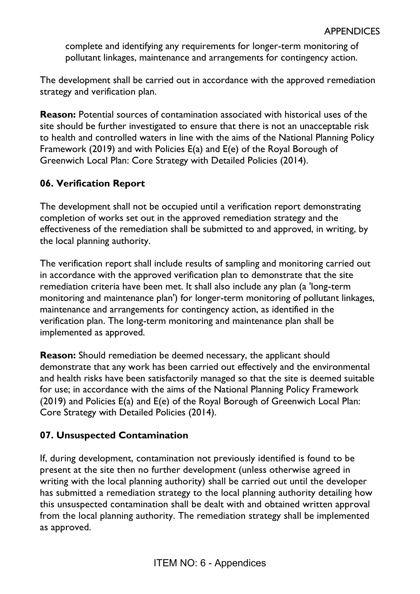complete and identifying any requirements for longer-term monitoring of pollutant linkages, maintenance and arrangements for contingency action.

The development shall be carried out in accordance with the approved remediation strategy and verification plan.

**Reason:** Potential sources of contamination associated with historical uses of the site should be further investigated to ensure that there is not an unacceptable risk to health and controlled waters in line with the aims of the National Planning Policy Framework (2019) and with Policies E(a) and E(e) of the Royal Borough of Greenwich Local Plan: Core Strategy with Detailed Policies (2014).

# **06. Verification Report**

The development shall not be occupied until a verification report demonstrating completion of works set out in the approved remediation strategy and the effectiveness of the remediation shall be submitted to and approved, in writing, by the local planning authority.

The verification report shall include results of sampling and monitoring carried out in accordance with the approved verification plan to demonstrate that the site remediation criteria have been met. It shall also include any plan (a 'long-term monitoring and maintenance plan') for longer-term monitoring of pollutant linkages, maintenance and arrangements for contingency action, as identified in the verification plan. The long-term monitoring and maintenance plan shall be implemented as approved.

**Reason:** Should remediation be deemed necessary, the applicant should demonstrate that any work has been carried out effectively and the environmental and health risks have been satisfactorily managed so that the site is deemed suitable for use; in accordance with the aims of the National Planning Policy Framework (2019) and Policies E(a) and E(e) of the Royal Borough of Greenwich Local Plan: Core Strategy with Detailed Policies (2014).

# **07. Unsuspected Contamination**

If, during development, contamination not previously identified is found to be present at the site then no further development (unless otherwise agreed in writing with the local planning authority) shall be carried out until the developer has submitted a remediation strategy to the local planning authority detailing how this unsuspected contamination shall be dealt with and obtained written approval from the local planning authority. The remediation strategy shall be implemented as approved.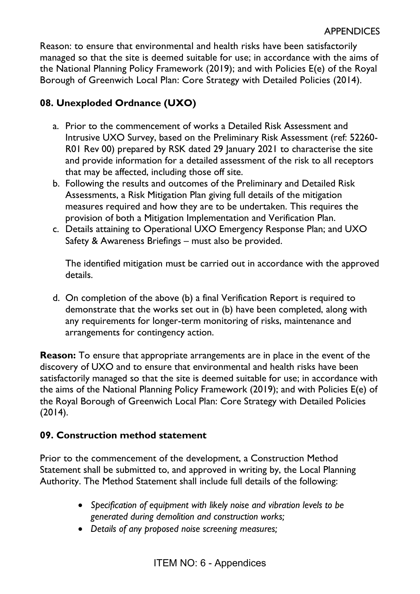Reason: to ensure that environmental and health risks have been satisfactorily managed so that the site is deemed suitable for use; in accordance with the aims of the National Planning Policy Framework (2019); and with Policies E(e) of the Royal Borough of Greenwich Local Plan: Core Strategy with Detailed Policies (2014).

# **08. Unexploded Ordnance (UXO)**

- a. Prior to the commencement of works a Detailed Risk Assessment and Intrusive UXO Survey, based on the Preliminary Risk Assessment (ref: 52260- R01 Rev 00) prepared by RSK dated 29 January 2021 to characterise the site and provide information for a detailed assessment of the risk to all receptors that may be affected, including those off site.
- b. Following the results and outcomes of the Preliminary and Detailed Risk Assessments, a Risk Mitigation Plan giving full details of the mitigation measures required and how they are to be undertaken. This requires the provision of both a Mitigation Implementation and Verification Plan.
- c. Details attaining to Operational UXO Emergency Response Plan; and UXO Safety & Awareness Briefings – must also be provided.

The identified mitigation must be carried out in accordance with the approved details.

d. On completion of the above (b) a final Verification Report is required to demonstrate that the works set out in (b) have been completed, along with any requirements for longer-term monitoring of risks, maintenance and arrangements for contingency action.

**Reason:** To ensure that appropriate arrangements are in place in the event of the discovery of UXO and to ensure that environmental and health risks have been satisfactorily managed so that the site is deemed suitable for use; in accordance with the aims of the National Planning Policy Framework (2019); and with Policies E(e) of the Royal Borough of Greenwich Local Plan: Core Strategy with Detailed Policies (2014).

# **09. Construction method statement**

Prior to the commencement of the development, a Construction Method Statement shall be submitted to, and approved in writing by, the Local Planning Authority. The Method Statement shall include full details of the following:

- *Specification of equipment with likely noise and vibration levels to be generated during demolition and construction works;*
- *Details of any proposed noise screening measures;*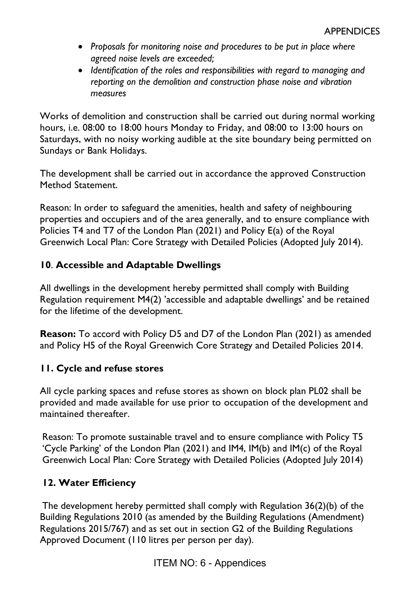- *Proposals for monitoring noise and procedures to be put in place where agreed noise levels are exceeded;*
- *Identification of the roles and responsibilities with regard to managing and reporting on the demolition and construction phase noise and vibration measures*

Works of demolition and construction shall be carried out during normal working hours, i.e. 08:00 to 18:00 hours Monday to Friday, and 08:00 to 13:00 hours on Saturdays, with no noisy working audible at the site boundary being permitted on Sundays or Bank Holidays.

The development shall be carried out in accordance the approved Construction Method Statement.

Reason: In order to safeguard the amenities, health and safety of neighbouring properties and occupiers and of the area generally, and to ensure compliance with Policies T4 and T7 of the London Plan (2021) and Policy E(a) of the Royal Greenwich Local Plan: Core Strategy with Detailed Policies (Adopted July 2014).

### **10**. **Accessible and Adaptable Dwellings**

All dwellings in the development hereby permitted shall comply with Building Regulation requirement M4(2) 'accessible and adaptable dwellings' and be retained for the lifetime of the development.

**Reason:** To accord with Policy D5 and D7 of the London Plan (2021) as amended and Policy H5 of the Royal Greenwich Core Strategy and Detailed Policies 2014.

# **11. Cycle and refuse stores**

All cycle parking spaces and refuse stores as shown on block plan PL02 shall be provided and made available for use prior to occupation of the development and maintained thereafter.

Reason: To promote sustainable travel and to ensure compliance with Policy T5 'Cycle Parking' of the London Plan (2021) and IM4, IM(b) and IM(c) of the Royal Greenwich Local Plan: Core Strategy with Detailed Policies (Adopted July 2014)

# **12. Water Efficiency**

The development hereby permitted shall comply with Regulation 36(2)(b) of the Building Regulations 2010 (as amended by the Building Regulations (Amendment) Regulations 2015/767) and as set out in section G2 of the Building Regulations Approved Document (110 litres per person per day).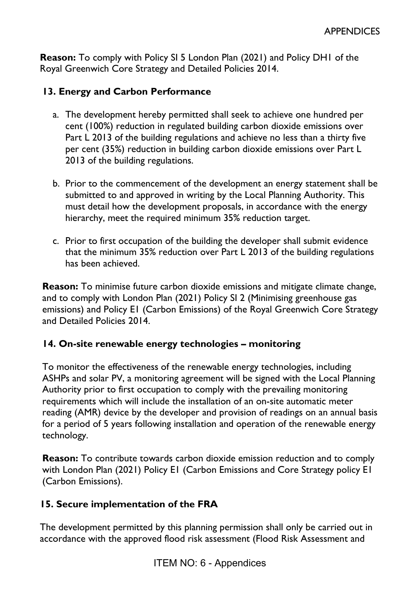**Reason:** To comply with Policy SI 5 London Plan (2021) and Policy DH1 of the Royal Greenwich Core Strategy and Detailed Policies 2014.

### **13. Energy and Carbon Performance**

- a. The development hereby permitted shall seek to achieve one hundred per cent (100%) reduction in regulated building carbon dioxide emissions over Part L 2013 of the building regulations and achieve no less than a thirty five per cent (35%) reduction in building carbon dioxide emissions over Part L 2013 of the building regulations.
- b. Prior to the commencement of the development an energy statement shall be submitted to and approved in writing by the Local Planning Authority. This must detail how the development proposals, in accordance with the energy hierarchy, meet the required minimum 35% reduction target.
- c. Prior to first occupation of the building the developer shall submit evidence that the minimum 35% reduction over Part L 2013 of the building regulations has been achieved.

**Reason:** To minimise future carbon dioxide emissions and mitigate climate change, and to comply with London Plan (2021) Policy SI 2 (Minimising greenhouse gas emissions) and Policy E1 (Carbon Emissions) of the Royal Greenwich Core Strategy and Detailed Policies 2014.

### **14. On-site renewable energy technologies – monitoring**

To monitor the effectiveness of the renewable energy technologies, including ASHPs and solar PV, a monitoring agreement will be signed with the Local Planning Authority prior to first occupation to comply with the prevailing monitoring requirements which will include the installation of an on-site automatic meter reading (AMR) device by the developer and provision of readings on an annual basis for a period of 5 years following installation and operation of the renewable energy technology.

**Reason:** To contribute towards carbon dioxide emission reduction and to comply with London Plan (2021) Policy E1 (Carbon Emissions and Core Strategy policy E1 (Carbon Emissions).

### **15. Secure implementation of the FRA**

The development permitted by this planning permission shall only be carried out in accordance with the approved flood risk assessment (Flood Risk Assessment and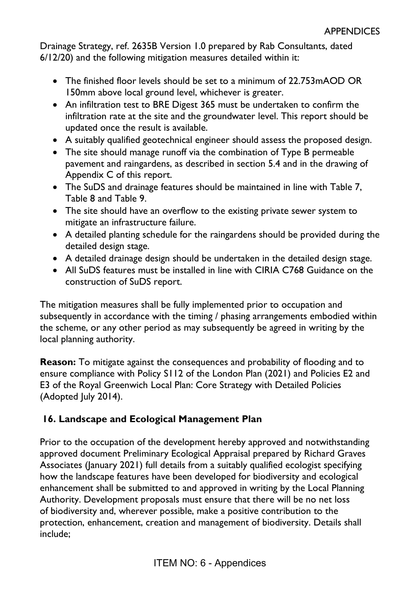Drainage Strategy, ref. 2635B Version 1.0 prepared by Rab Consultants, dated 6/12/20) and the following mitigation measures detailed within it:

- The finished floor levels should be set to a minimum of 22.753mAOD OR 150mm above local ground level, whichever is greater.
- An infiltration test to BRE Digest 365 must be undertaken to confirm the infiltration rate at the site and the groundwater level. This report should be updated once the result is available.
- A suitably qualified geotechnical engineer should assess the proposed design.
- The site should manage runoff via the combination of Type B permeable pavement and raingardens, as described in section 5.4 and in the drawing of Appendix C of this report.
- The SuDS and drainage features should be maintained in line with Table 7, Table 8 and Table 9.
- The site should have an overflow to the existing private sewer system to mitigate an infrastructure failure.
- A detailed planting schedule for the raingardens should be provided during the detailed design stage.
- A detailed drainage design should be undertaken in the detailed design stage.
- All SuDS features must be installed in line with CIRIA C768 Guidance on the construction of SuDS report.

The mitigation measures shall be fully implemented prior to occupation and subsequently in accordance with the timing / phasing arrangements embodied within the scheme, or any other period as may subsequently be agreed in writing by the local planning authority.

**Reason:** To mitigate against the consequences and probability of flooding and to ensure compliance with Policy S112 of the London Plan (2021) and Policies E2 and E3 of the Royal Greenwich Local Plan: Core Strategy with Detailed Policies (Adopted July 2014).

# **16. Landscape and Ecological Management Plan**

Prior to the occupation of the development hereby approved and notwithstanding approved document Preliminary Ecological Appraisal prepared by Richard Graves Associates (January 2021) full details from a suitably qualified ecologist specifying how the landscape features have been developed for biodiversity and ecological enhancement shall be submitted to and approved in writing by the Local Planning Authority. Development proposals must ensure that there will be no net loss of biodiversity and, wherever possible, make a positive contribution to the protection, enhancement, creation and management of biodiversity. Details shall include;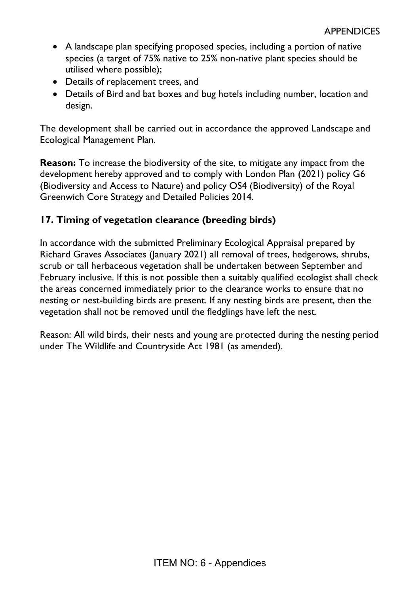- A landscape plan specifying proposed species, including a portion of native species (a target of 75% native to 25% non-native plant species should be utilised where possible);
- Details of replacement trees, and
- Details of Bird and bat boxes and bug hotels including number, location and design.

The development shall be carried out in accordance the approved Landscape and Ecological Management Plan.

**Reason:** To increase the biodiversity of the site, to mitigate any impact from the development hereby approved and to comply with London Plan (2021) policy G6 (Biodiversity and Access to Nature) and policy OS4 (Biodiversity) of the Royal Greenwich Core Strategy and Detailed Policies 2014.

# **17. Timing of vegetation clearance (breeding birds)**

In accordance with the submitted Preliminary Ecological Appraisal prepared by Richard Graves Associates (January 2021) all removal of trees, hedgerows, shrubs, scrub or tall herbaceous vegetation shall be undertaken between September and February inclusive. If this is not possible then a suitably qualified ecologist shall check the areas concerned immediately prior to the clearance works to ensure that no nesting or nest-building birds are present. If any nesting birds are present, then the vegetation shall not be removed until the fledglings have left the nest.

Reason: All wild birds, their nests and young are protected during the nesting period under The Wildlife and Countryside Act 1981 (as amended).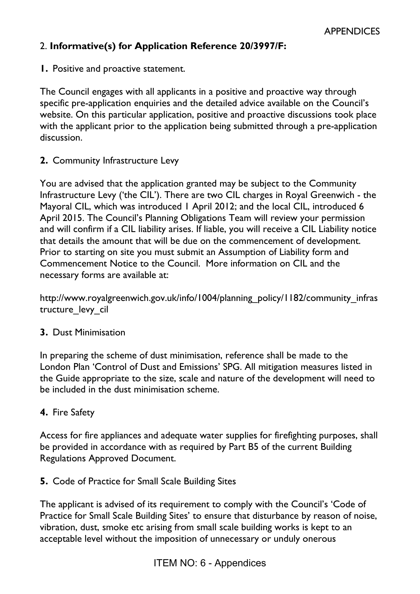### 2. **Informative(s) for Application Reference 20/3997/F:**

**1.** Positive and proactive statement.

The Council engages with all applicants in a positive and proactive way through specific pre-application enquiries and the detailed advice available on the Council's website. On this particular application, positive and proactive discussions took place with the applicant prior to the application being submitted through a pre-application discussion.

**2.** Community Infrastructure Levy

You are advised that the application granted may be subject to the Community Infrastructure Levy ('the CIL'). There are two CIL charges in Royal Greenwich - the Mayoral CIL, which was introduced 1 April 2012; and the local CIL, introduced 6 April 2015. The Council's Planning Obligations Team will review your permission and will confirm if a CIL liability arises. If liable, you will receive a CIL Liability notice that details the amount that will be due on the commencement of development. Prior to starting on site you must submit an Assumption of Liability form and Commencement Notice to the Council. More information on CIL and the necessary forms are available at:

[http://www.royalgreenwich.gov.uk/info/1004/planning\\_policy/1182/community\\_infras](http://www.royalgreenwich.gov.uk/info/1004/planning_policy/1182/community_infrastructure_levy_cil) tructure levy cil

#### **3.** Dust Minimisation

In preparing the scheme of dust minimisation, reference shall be made to the London Plan '[Control of Dust and Emissions](https://www.london.gov.uk/what-we-do/planning/implementing-london-plan/supplementary-planning-guidance/control-dust-and)' SPG. All mitigation measures listed in the Guide appropriate to the size, scale and nature of the development will need to be included in the dust minimisation scheme.

#### **4.** Fire Safety

Access for fire appliances and adequate water supplies for firefighting purposes, shall be provided in accordance with as required by Part B5 of the current Building Regulations Approved Document.

**5.** Code of Practice for Small Scale Building Sites

The applicant is advised of its requirement to comply with the Council's 'Code of Practice for Small Scale Building Sites' to ensure that disturbance by reason of noise, vibration, dust, smoke etc arising from small scale building works is kept to an acceptable level without the imposition of unnecessary or unduly onerous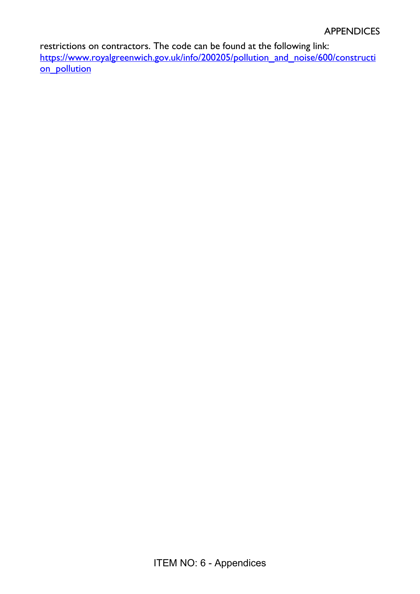restrictions on contractors. The code can be found at the following link: [https://www.royalgreenwich.gov.uk/info/200205/pollution\\_and\\_noise/600/constructi](https://www.royalgreenwich.gov.uk/info/200205/pollution_and_noise/600/construction_pollution) [on\\_pollution](https://www.royalgreenwich.gov.uk/info/200205/pollution_and_noise/600/construction_pollution)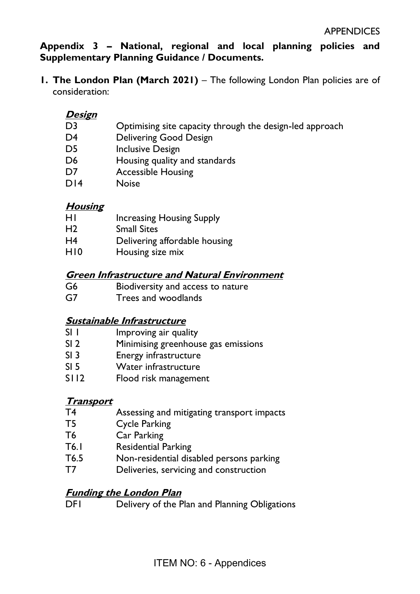**Appendix 3 – National, regional and local planning policies and Supplementary Planning Guidance / Documents.** 

**1. The London Plan (March 2021)** – The following London Plan policies are of consideration:

### **Design**

- D3 Optimising site capacity through the design-led approach
- D4 Delivering Good Design
- D5 Inclusive Design
- D6 Housing quality and standards
- D7 Accessible Housing
- D14 Noise

# **Housing**

- H1 Increasing Housing Supply
- H2 Small Sites
- H4 Delivering affordable housing
- H10 Housing size mix

### **Green Infrastructure and Natural Environment**

- G6 Biodiversity and access to nature
- G7 Trees and woodlands

### **Sustainable Infrastructure**

- SI 1 Improving air quality
- SI 2 Minimising greenhouse gas emissions
- SI 3 Energy infrastructure
- SI 5 Water infrastructure
- S112 Flood risk management

### **Transport**

- T4 Assessing and mitigating transport impacts
- T5 Cycle Parking
- T6 Car Parking
- T6.1 Residential Parking
- T6.5 Non-residential disabled persons parking
- T7 Deliveries, servicing and construction

### **Funding the London Plan**

DF1 Delivery of the Plan and Planning Obligations